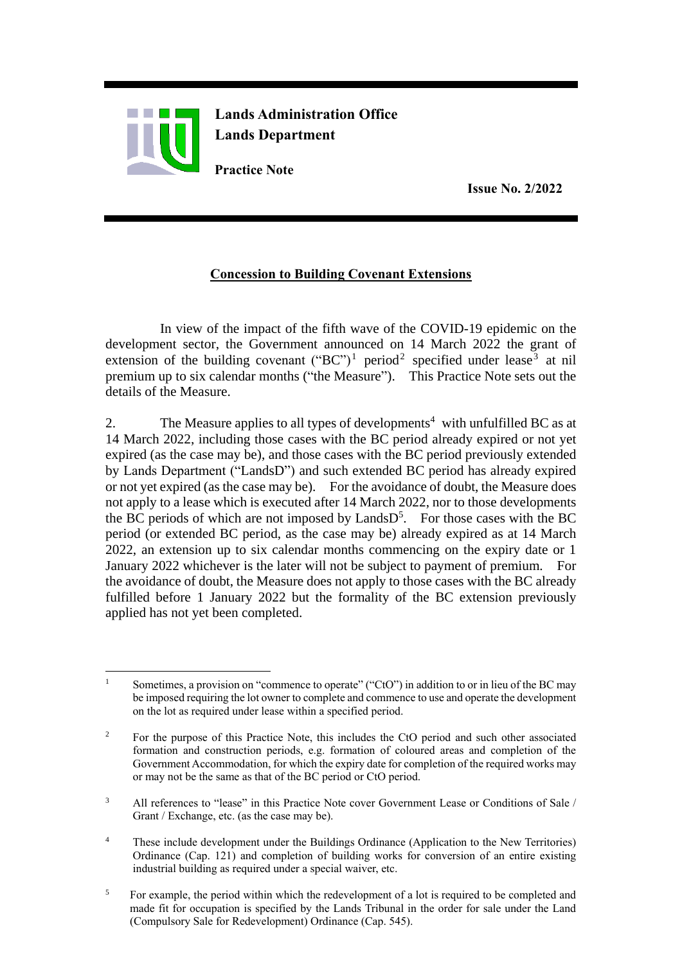

**Lands Administration Office Lands Department**

**Practice Note**

 **Issue No. 2/2022**

## **Concession to Building Covenant Extensions**

In view of the impact of the fifth wave of the COVID-19 epidemic on the development sector, the Government announced on 14 March 2022 the grant of extension of the building covenant  $("BC")^1$  period<sup>2</sup> specified under lease<sup>3</sup> at nil premium up to six calendar months ("the Measure"). This Practice Note sets out the details of the Measure.

2. The Measure applies to all types of developments<sup>4</sup> with unfulfilled BC as at 14 March 2022, including those cases with the BC period already expired or not yet expired (as the case may be), and those cases with the BC period previously extended by Lands Department ("LandsD") and such extended BC period has already expired or not yet expired (as the case may be). For the avoidance of doubt, the Measure does not apply to a lease which is executed after 14 March 2022, nor to those developments the BC periods of which are not imposed by  $LandSD<sup>5</sup>$ . For those cases with the BC period (or extended BC period, as the case may be) already expired as at 14 March 2022, an extension up to six calendar months commencing on the expiry date or 1 January 2022 whichever is the later will not be subject to payment of premium*.* For the avoidance of doubt, the Measure does not apply to those cases with the BC already fulfilled before 1 January 2022 but the formality of the BC extension previously applied has not yet been completed.

- <sup>4</sup> These include development under the Buildings Ordinance (Application to the New Territories) Ordinance (Cap. 121) and completion of building works for conversion of an entire existing industrial building as required under a special waiver, etc.
- <sup>5</sup> For example, the period within which the redevelopment of a lot is required to be completed and made fit for occupation is specified by the Lands Tribunal in the order for sale under the Land (Compulsory Sale for Redevelopment) Ordinance (Cap. 545).

 $\overline{a}$ Sometimes, a provision on "commence to operate" ("CtO") in addition to or in lieu of the BC may be imposed requiring the lot owner to complete and commence to use and operate the development on the lot as required under lease within a specified period.

<sup>&</sup>lt;sup>2</sup> For the purpose of this Practice Note, this includes the CtO period and such other associated formation and construction periods, e.g. formation of coloured areas and completion of the Government Accommodation, for which the expiry date for completion of the required works may or may not be the same as that of the BC period or CtO period.

<sup>&</sup>lt;sup>3</sup> All references to "lease" in this Practice Note cover Government Lease or Conditions of Sale / Grant / Exchange, etc. (as the case may be).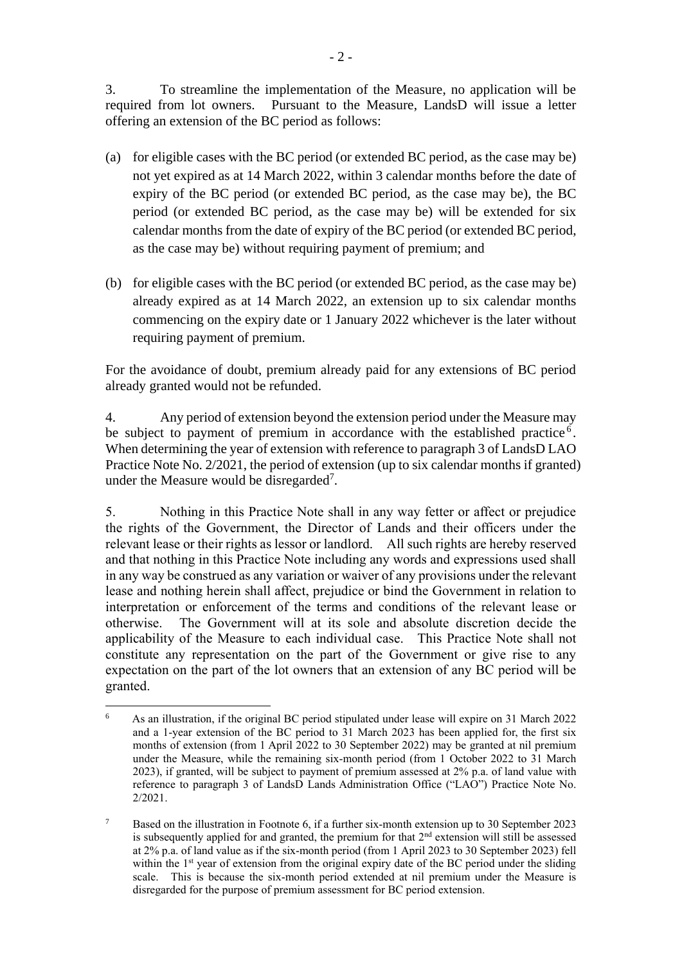3. To streamline the implementation of the Measure, no application will be required from lot owners. Pursuant to the Measure, LandsD will issue a letter offering an extension of the BC period as follows:

- (a) for eligible cases with the BC period (or extended BC period, as the case may be) not yet expired as at 14 March 2022, within 3 calendar months before the date of expiry of the BC period (or extended BC period, as the case may be), the BC period (or extended BC period, as the case may be) will be extended for six calendar months from the date of expiry of the BC period (or extended BC period, as the case may be) without requiring payment of premium; and
- (b) for eligible cases with the BC period (or extended BC period, as the case may be) already expired as at 14 March 2022, an extension up to six calendar months commencing on the expiry date or 1 January 2022 whichever is the later without requiring payment of premium.

For the avoidance of doubt, premium already paid for any extensions of BC period already granted would not be refunded.

4. Any period of extension beyond the extension period under the Measure may be subject to payment of premium in accordance with the established practice<sup>6</sup>. When determining the year of extension with reference to paragraph 3 of LandsD LAO Practice Note No. 2/2021, the period of extension (up to six calendar months if granted) under the Measure would be disregarded<sup>7</sup>.

5. Nothing in this Practice Note shall in any way fetter or affect or prejudice the rights of the Government, the Director of Lands and their officers under the relevant lease or their rights as lessor or landlord. All such rights are hereby reserved and that nothing in this Practice Note including any words and expressions used shall in any way be construed as any variation or waiver of any provisions under the relevant lease and nothing herein shall affect, prejudice or bind the Government in relation to interpretation or enforcement of the terms and conditions of the relevant lease or otherwise. The Government will at its sole and absolute discretion decide the applicability of the Measure to each individual case. This Practice Note shall not constitute any representation on the part of the Government or give rise to any expectation on the part of the lot owners that an extension of any BC period will be granted.

 $\overline{a}$ 6 As an illustration, if the original BC period stipulated under lease will expire on 31 March 2022 and a 1-year extension of the BC period to 31 March 2023 has been applied for, the first six months of extension (from 1 April 2022 to 30 September 2022) may be granted at nil premium under the Measure, while the remaining six-month period (from 1 October 2022 to 31 March 2023), if granted, will be subject to payment of premium assessed at 2% p.a. of land value with reference to paragraph 3 of LandsD Lands Administration Office ("LAO") Practice Note No. 2/2021.

<sup>&</sup>lt;sup>7</sup> Based on the illustration in Footnote 6, if a further six-month extension up to 30 September 2023 is subsequently applied for and granted, the premium for that  $2<sup>nd</sup>$  extension will still be assessed at 2% p.a. of land value as if the six-month period (from 1 April 2023 to 30 September 2023) fell within the  $1<sup>st</sup>$  year of extension from the original expiry date of the BC period under the sliding scale. This is because the six-month period extended at nil premium under the Measure is disregarded for the purpose of premium assessment for BC period extension.